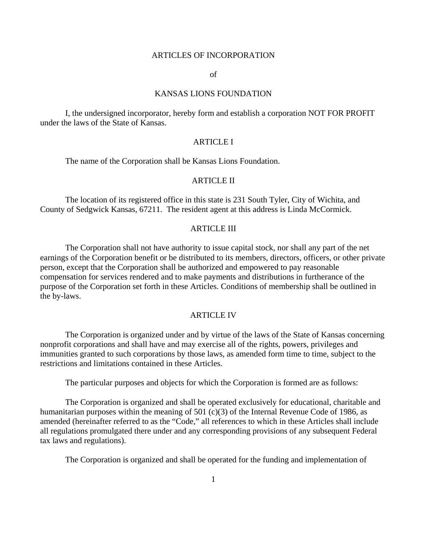#### ARTICLES OF INCORPORATION

#### of

#### KANSAS LIONS FOUNDATION

 I, the undersigned incorporator, hereby form and establish a corporation NOT FOR PROFIT under the laws of the State of Kansas.

### ARTICLE I

The name of the Corporation shall be Kansas Lions Foundation.

### ARTICLE II

The location of its registered office in this state is 231 South Tyler, City of Wichita, and County of Sedgwick Kansas, 67211. The resident agent at this address is Linda McCormick.

#### ARTICLE III

 The Corporation shall not have authority to issue capital stock, nor shall any part of the net earnings of the Corporation benefit or be distributed to its members, directors, officers, or other private person, except that the Corporation shall be authorized and empowered to pay reasonable compensation for services rendered and to make payments and distributions in furtherance of the purpose of the Corporation set forth in these Articles. Conditions of membership shall be outlined in the by-laws.

#### ARTICLE IV

 The Corporation is organized under and by virtue of the laws of the State of Kansas concerning nonprofit corporations and shall have and may exercise all of the rights, powers, privileges and immunities granted to such corporations by those laws, as amended form time to time, subject to the restrictions and limitations contained in these Articles.

The particular purposes and objects for which the Corporation is formed are as follows:

 The Corporation is organized and shall be operated exclusively for educational, charitable and humanitarian purposes within the meaning of 501 (c)(3) of the Internal Revenue Code of 1986, as amended (hereinafter referred to as the "Code," all references to which in these Articles shall include all regulations promulgated there under and any corresponding provisions of any subsequent Federal tax laws and regulations).

The Corporation is organized and shall be operated for the funding and implementation of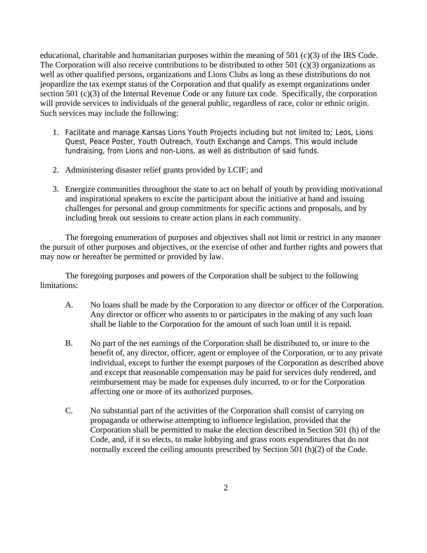educational, charitable and humanitarian purposes within the meaning of 501 (c)(3) of the IRS Code. The Corporation will also receive contributions to be distributed to other 501 (c)(3) organizations as well as other qualified persons, organizations and Lions Clubs as long as these distributions do not jeopardize the tax exempt status of the Corporation and that qualify as exempt organizations under section 501 (c)(3) of the Internal Revenue Code or any future tax code. Specifically, the corporation will provide services to individuals of the general public, regardless of race, color or ethnic origin. Such services may include the following:

- 1. Facilitate and manage Kansas Lions Youth Projects including but not limited to; Leos, Lions Quest, Peace Poster, Youth Outreach, Youth Exchange and Camps. This would include fundraising, from Lions and non-Lions, as well as distribution of said funds.
- 2. Administering disaster relief grants provided by LCIF; and
- 3. Energize communities throughout the state to act on behalf of youth by providing motivational and inspirational speakers to excite the participant about the initiative at hand and issuing challenges for personal and group commitments for specific actions and proposals, and by including break out sessions to create action plans in each community.

The foregoing enumeration of purposes and objectives shall not limit or restrict in any manner the pursuit of other purposes and objectives, or the exercise of other and further rights and powers that may now or hereafter be permitted or provided by law.

The foregoing purposes and powers of the Corporation shall be subject to the following limitations:

- A. No loans shall be made by the Corporation to any director or officer of the Corporation. Any director or officer who assents to or participates in the making of any such loan shall be liable to the Corporation for the amount of such loan until it is repaid.
- B. No part of the net earnings of the Corporation shall be distributed to, or inure to the benefit of, any director, officer, agent or employee of the Corporation, or to any private individual, except to further the exempt purposes of the Corporation as described above and except that reasonable compensation may be paid for services duly rendered, and reimbursement may be made for expenses duly incurred, to or for the Corporation affecting one or more of its authorized purposes.
- C. No substantial part of the activities of the Corporation shall consist of carrying on propaganda or otherwise attempting to influence legislation, provided that the Corporation shall be permitted to make the election described in Section 501 (h) of the Code, and, if it so elects, to make lobbying and grass roots expenditures that do not normally exceed the ceiling amounts prescribed by Section 501 (h)(2) of the Code.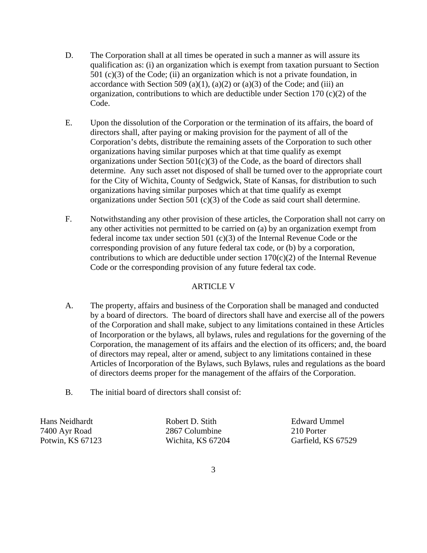- D. The Corporation shall at all times be operated in such a manner as will assure its qualification as: (i) an organization which is exempt from taxation pursuant to Section 501 (c)(3) of the Code; (ii) an organization which is not a private foundation, in accordance with Section 509 (a)(1), (a)(2) or (a)(3) of the Code; and (iii) an organization, contributions to which are deductible under Section 170 (c)(2) of the Code.
- E. Upon the dissolution of the Corporation or the termination of its affairs, the board of directors shall, after paying or making provision for the payment of all of the Corporation's debts, distribute the remaining assets of the Corporation to such other organizations having similar purposes which at that time qualify as exempt organizations under Section  $501(c)(3)$  of the Code, as the board of directors shall determine. Any such asset not disposed of shall be turned over to the appropriate court for the City of Wichita, County of Sedgwick, State of Kansas, for distribution to such organizations having similar purposes which at that time qualify as exempt organizations under Section 501 (c)(3) of the Code as said court shall determine.
- F. Notwithstanding any other provision of these articles, the Corporation shall not carry on any other activities not permitted to be carried on (a) by an organization exempt from federal income tax under section 501 (c)(3) of the Internal Revenue Code or the corresponding provision of any future federal tax code, or (b) by a corporation, contributions to which are deductible under section  $170(c)(2)$  of the Internal Revenue Code or the corresponding provision of any future federal tax code.

## ARTICLE V

- A. The property, affairs and business of the Corporation shall be managed and conducted by a board of directors. The board of directors shall have and exercise all of the powers of the Corporation and shall make, subject to any limitations contained in these Articles of Incorporation or the bylaws, all bylaws, rules and regulations for the governing of the Corporation, the management of its affairs and the election of its officers; and, the board of directors may repeal, alter or amend, subject to any limitations contained in these Articles of Incorporation of the Bylaws, such Bylaws, rules and regulations as the board of directors deems proper for the management of the affairs of the Corporation.
- B. The initial board of directors shall consist of:

Hans Neidhardt Robert D. Stith Edward Ummel

7400 Ayr Road 2867 Columbine 210 Porter

Potwin, KS 67123 Wichita, KS 67204 Garfield, KS 67529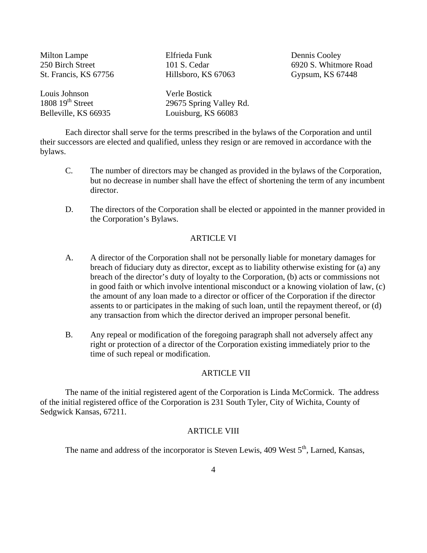| <b>Milton Lampe</b>   | Elfrieda Funk           | Dennis Cooley         |
|-----------------------|-------------------------|-----------------------|
| 250 Birch Street      | 101 S. Cedar            | 6920 S. Whitmore Road |
| St. Francis, KS 67756 | Hillsboro, KS 67063     | Gypsum, KS 67448      |
| Louis Johnson         | Verle Bostick           |                       |
| $1808\ 19th$ Street   | 29675 Spring Valley Rd. |                       |
| Belleville, KS 66935  | Louisburg, KS 66083     |                       |

 Each director shall serve for the terms prescribed in the bylaws of the Corporation and until their successors are elected and qualified, unless they resign or are removed in accordance with the bylaws.

- C. The number of directors may be changed as provided in the bylaws of the Corporation, but no decrease in number shall have the effect of shortening the term of any incumbent director.
- D. The directors of the Corporation shall be elected or appointed in the manner provided in the Corporation's Bylaws.

### ARTICLE VI

- A. A director of the Corporation shall not be personally liable for monetary damages for breach of fiduciary duty as director, except as to liability otherwise existing for (a) any breach of the director's duty of loyalty to the Corporation, (b) acts or commissions not in good faith or which involve intentional misconduct or a knowing violation of law, (c) the amount of any loan made to a director or officer of the Corporation if the director assents to or participates in the making of such loan, until the repayment thereof, or (d) any transaction from which the director derived an improper personal benefit.
- B. Any repeal or modification of the foregoing paragraph shall not adversely affect any right or protection of a director of the Corporation existing immediately prior to the time of such repeal or modification.

### ARTICLE VII

 The name of the initial registered agent of the Corporation is Linda McCormick. The address of the initial registered office of the Corporation is 231 South Tyler, City of Wichita, County of Sedgwick Kansas, 67211.

### ARTICLE VIII

The name and address of the incorporator is Steven Lewis,  $409$  West  $5<sup>th</sup>$ , Larned, Kansas,